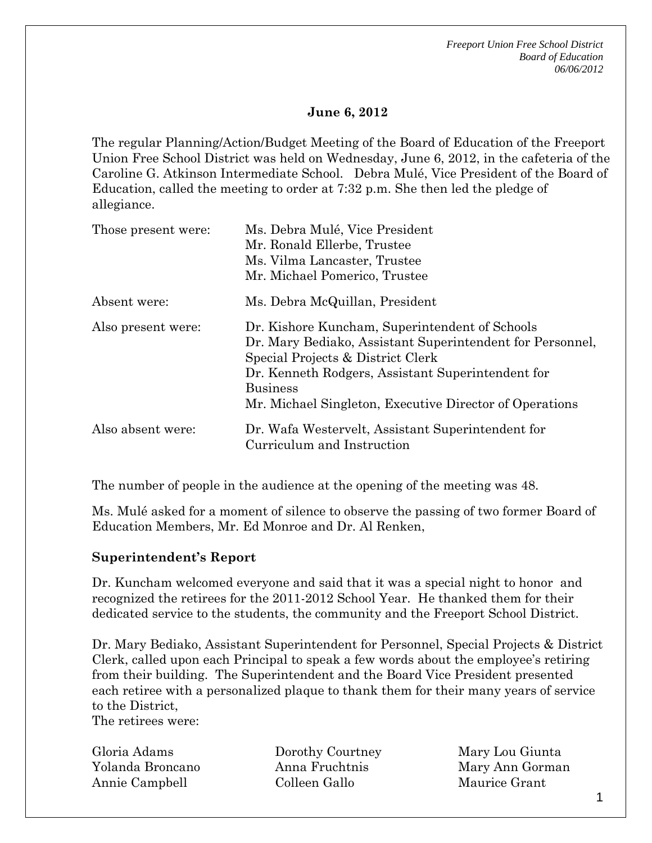#### **June 6, 2012**

The regular Planning/Action/Budget Meeting of the Board of Education of the Freeport Union Free School District was held on Wednesday, June 6, 2012, in the cafeteria of the Caroline G. Atkinson Intermediate School. Debra Mulé, Vice President of the Board of Education, called the meeting to order at 7:32 p.m. She then led the pledge of allegiance.

| Those present were: | Ms. Debra Mulé, Vice President<br>Mr. Ronald Ellerbe, Trustee<br>Ms. Vilma Lancaster, Trustee<br>Mr. Michael Pomerico, Trustee                                                                                                                                                      |
|---------------------|-------------------------------------------------------------------------------------------------------------------------------------------------------------------------------------------------------------------------------------------------------------------------------------|
| Absent were:        | Ms. Debra McQuillan, President                                                                                                                                                                                                                                                      |
| Also present were:  | Dr. Kishore Kuncham, Superintendent of Schools<br>Dr. Mary Bediako, Assistant Superintendent for Personnel,<br>Special Projects & District Clerk<br>Dr. Kenneth Rodgers, Assistant Superintendent for<br><b>Business</b><br>Mr. Michael Singleton, Executive Director of Operations |
| Also absent were:   | Dr. Wafa Westervelt, Assistant Superintendent for<br>Curriculum and Instruction                                                                                                                                                                                                     |

The number of people in the audience at the opening of the meeting was 48.

Ms. Mulé asked for a moment of silence to observe the passing of two former Board of Education Members, Mr. Ed Monroe and Dr. Al Renken,

#### **Superintendent's Report**

Dr. Kuncham welcomed everyone and said that it was a special night to honor and recognized the retirees for the 2011-2012 School Year. He thanked them for their dedicated service to the students, the community and the Freeport School District.

Dr. Mary Bediako, Assistant Superintendent for Personnel, Special Projects & District Clerk, called upon each Principal to speak a few words about the employee's retiring from their building. The Superintendent and the Board Vice President presented each retiree with a personalized plaque to thank them for their many years of service to the District,

The retirees were:

Gloria Adams Yolanda Broncano Annie Campbell

Dorothy Courtney Anna Fruchtnis Colleen Gallo

Mary Lou Giunta Mary Ann Gorman Maurice Grant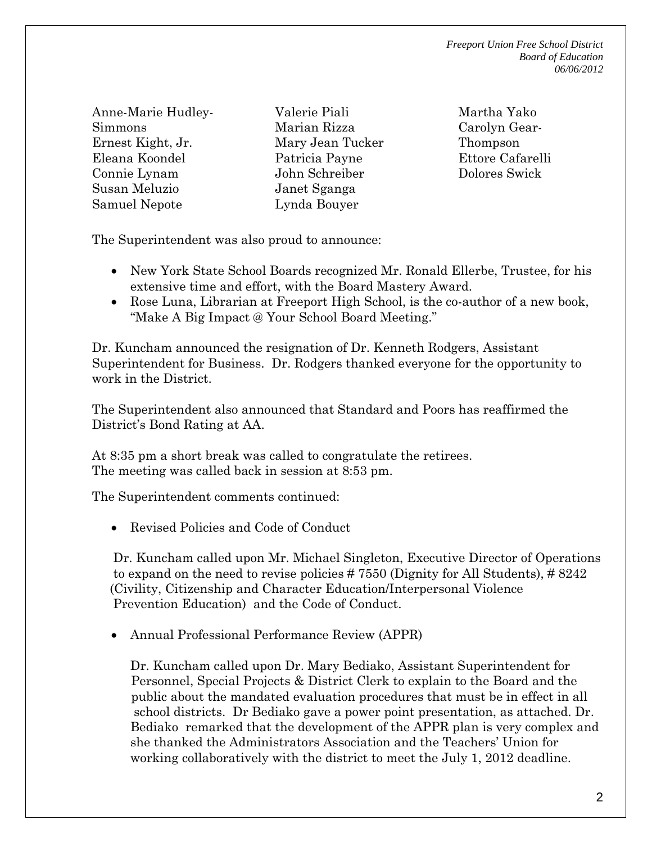Anne-Marie Hudley-Simmons Ernest Kight, Jr. Eleana Koondel Connie Lynam Susan Meluzio Samuel Nepote

Valerie Piali Marian Rizza Mary Jean Tucker Patricia Payne John Schreiber Janet Sganga Lynda Bouyer

Martha Yako Carolyn Gear-Thompson Ettore Cafarelli Dolores Swick

The Superintendent was also proud to announce:

- New York State School Boards recognized Mr. Ronald Ellerbe, Trustee, for his extensive time and effort, with the Board Mastery Award.
- Rose Luna, Librarian at Freeport High School, is the co-author of a new book, "Make A Big Impact @ Your School Board Meeting."

Dr. Kuncham announced the resignation of Dr. Kenneth Rodgers, Assistant Superintendent for Business. Dr. Rodgers thanked everyone for the opportunity to work in the District.

The Superintendent also announced that Standard and Poors has reaffirmed the District's Bond Rating at AA.

At 8:35 pm a short break was called to congratulate the retirees. The meeting was called back in session at 8:53 pm.

The Superintendent comments continued:

Revised Policies and Code of Conduct

 Dr. Kuncham called upon Mr. Michael Singleton, Executive Director of Operations to expand on the need to revise policies # 7550 (Dignity for All Students), # 8242 (Civility, Citizenship and Character Education/Interpersonal Violence Prevention Education) and the Code of Conduct.

Annual Professional Performance Review (APPR)

 Dr. Kuncham called upon Dr. Mary Bediako, Assistant Superintendent for Personnel, Special Projects & District Clerk to explain to the Board and the public about the mandated evaluation procedures that must be in effect in all school districts. Dr Bediako gave a power point presentation, as attached. Dr. Bediako remarked that the development of the APPR plan is very complex and she thanked the Administrators Association and the Teachers' Union for working collaboratively with the district to meet the July 1, 2012 deadline.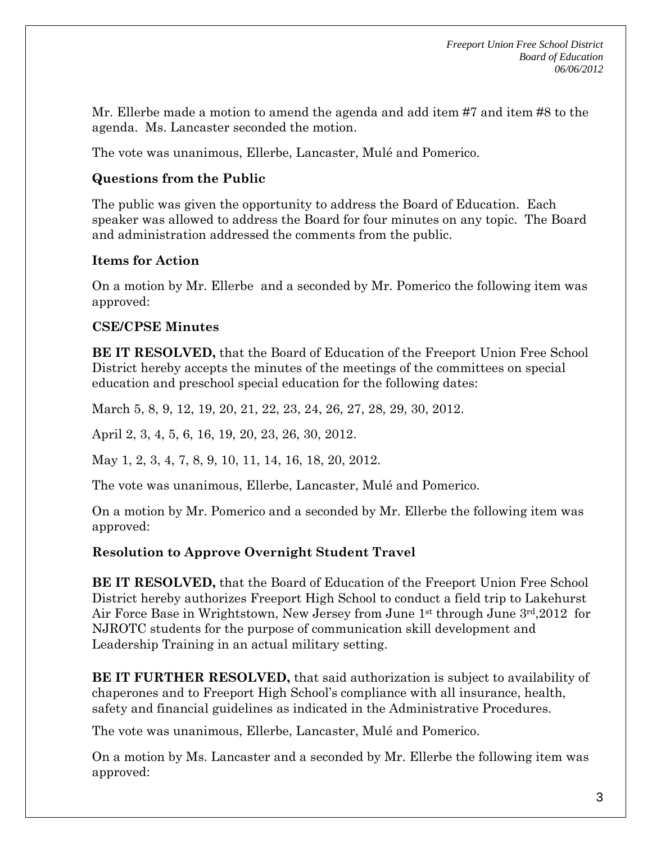Mr. Ellerbe made a motion to amend the agenda and add item #7 and item #8 to the agenda. Ms. Lancaster seconded the motion.

The vote was unanimous, Ellerbe, Lancaster, Mulé and Pomerico.

#### **Questions from the Public**

The public was given the opportunity to address the Board of Education. Each speaker was allowed to address the Board for four minutes on any topic. The Board and administration addressed the comments from the public.

#### **Items for Action**

On a motion by Mr. Ellerbe and a seconded by Mr. Pomerico the following item was approved:

# **CSE/CPSE Minutes**

**BE IT RESOLVED,** that the Board of Education of the Freeport Union Free School District hereby accepts the minutes of the meetings of the committees on special education and preschool special education for the following dates:

March 5, 8, 9, 12, 19, 20, 21, 22, 23, 24, 26, 27, 28, 29, 30, 2012.

April 2, 3, 4, 5, 6, 16, 19, 20, 23, 26, 30, 2012.

May 1, 2, 3, 4, 7, 8, 9, 10, 11, 14, 16, 18, 20, 2012.

The vote was unanimous, Ellerbe, Lancaster, Mulé and Pomerico.

On a motion by Mr. Pomerico and a seconded by Mr. Ellerbe the following item was approved:

# **Resolution to Approve Overnight Student Travel**

**BE IT RESOLVED,** that the Board of Education of the Freeport Union Free School District hereby authorizes Freeport High School to conduct a field trip to Lakehurst Air Force Base in Wrightstown, New Jersey from June 1st through June 3rd,2012 for NJROTC students for the purpose of communication skill development and Leadership Training in an actual military setting.

**BE IT FURTHER RESOLVED,** that said authorization is subject to availability of chaperones and to Freeport High School's compliance with all insurance, health, safety and financial guidelines as indicated in the Administrative Procedures.

The vote was unanimous, Ellerbe, Lancaster, Mulé and Pomerico.

On a motion by Ms. Lancaster and a seconded by Mr. Ellerbe the following item was approved: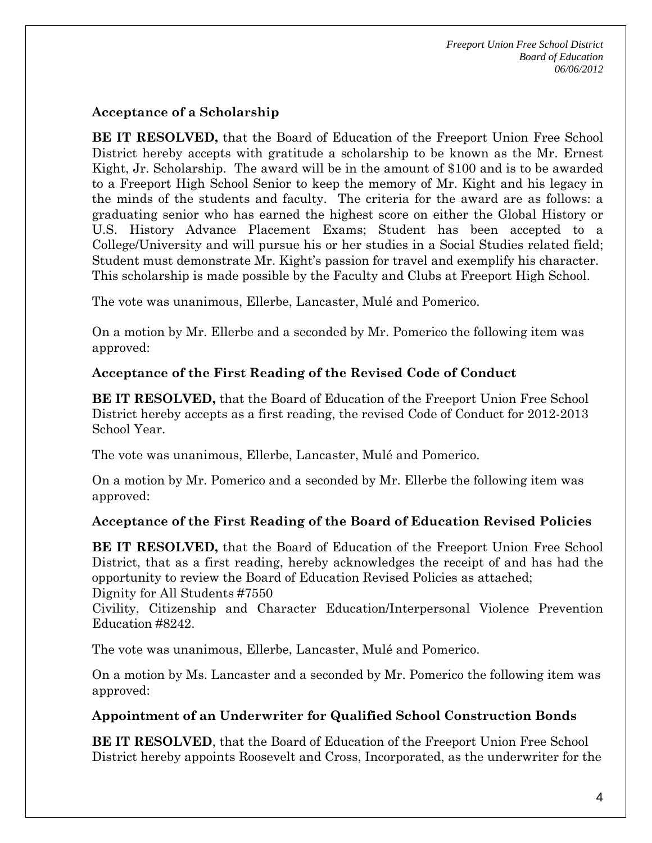#### **Acceptance of a Scholarship**

**BE IT RESOLVED,** that the Board of Education of the Freeport Union Free School District hereby accepts with gratitude a scholarship to be known as the Mr. Ernest Kight, Jr. Scholarship. The award will be in the amount of \$100 and is to be awarded to a Freeport High School Senior to keep the memory of Mr. Kight and his legacy in the minds of the students and faculty. The criteria for the award are as follows: a graduating senior who has earned the highest score on either the Global History or U.S. History Advance Placement Exams; Student has been accepted to a College/University and will pursue his or her studies in a Social Studies related field; Student must demonstrate Mr. Kight's passion for travel and exemplify his character. This scholarship is made possible by the Faculty and Clubs at Freeport High School.

The vote was unanimous, Ellerbe, Lancaster, Mulé and Pomerico.

On a motion by Mr. Ellerbe and a seconded by Mr. Pomerico the following item was approved:

# **Acceptance of the First Reading of the Revised Code of Conduct**

**BE IT RESOLVED,** that the Board of Education of the Freeport Union Free School District hereby accepts as a first reading, the revised Code of Conduct for 2012-2013 School Year.

The vote was unanimous, Ellerbe, Lancaster, Mulé and Pomerico.

On a motion by Mr. Pomerico and a seconded by Mr. Ellerbe the following item was approved:

# **Acceptance of the First Reading of the Board of Education Revised Policies**

**BE IT RESOLVED,** that the Board of Education of the Freeport Union Free School District, that as a first reading, hereby acknowledges the receipt of and has had the opportunity to review the Board of Education Revised Policies as attached; Dignity for All Students #7550

Civility, Citizenship and Character Education/Interpersonal Violence Prevention Education #8242.

The vote was unanimous, Ellerbe, Lancaster, Mulé and Pomerico.

On a motion by Ms. Lancaster and a seconded by Mr. Pomerico the following item was approved:

# **Appointment of an Underwriter for Qualified School Construction Bonds**

**BE IT RESOLVED**, that the Board of Education of the Freeport Union Free School District hereby appoints Roosevelt and Cross, Incorporated, as the underwriter for the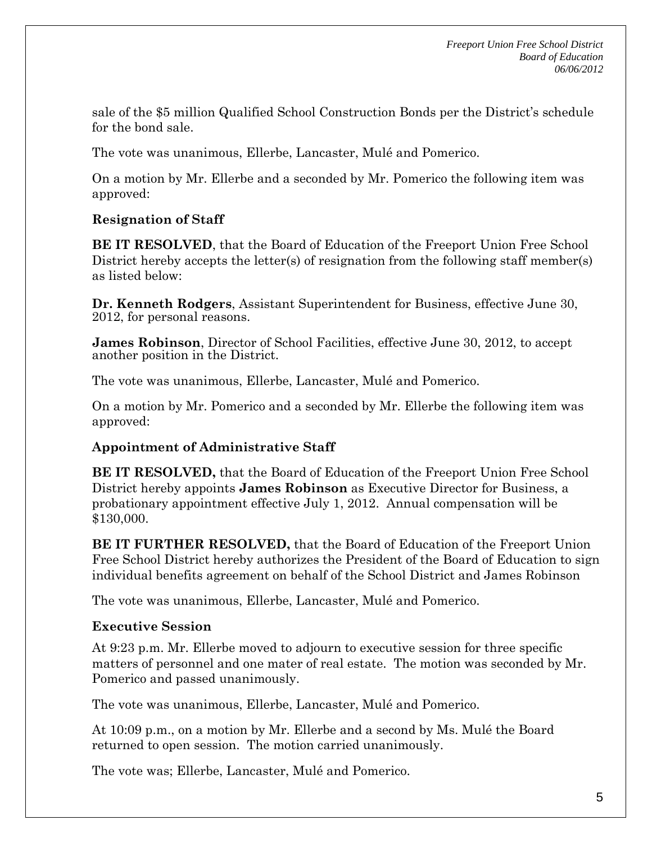sale of the \$5 million Qualified School Construction Bonds per the District's schedule for the bond sale.

The vote was unanimous, Ellerbe, Lancaster, Mulé and Pomerico.

On a motion by Mr. Ellerbe and a seconded by Mr. Pomerico the following item was approved:

# **Resignation of Staff**

**BE IT RESOLVED**, that the Board of Education of the Freeport Union Free School District hereby accepts the letter(s) of resignation from the following staff member(s) as listed below:

**Dr. Kenneth Rodgers**, Assistant Superintendent for Business, effective June 30, 2012, for personal reasons.

**James Robinson**, Director of School Facilities, effective June 30, 2012, to accept another position in the District.

The vote was unanimous, Ellerbe, Lancaster, Mulé and Pomerico.

On a motion by Mr. Pomerico and a seconded by Mr. Ellerbe the following item was approved:

# **Appointment of Administrative Staff**

**BE IT RESOLVED,** that the Board of Education of the Freeport Union Free School District hereby appoints **James Robinson** as Executive Director for Business, a probationary appointment effective July 1, 2012. Annual compensation will be \$130,000.

**BE IT FURTHER RESOLVED,** that the Board of Education of the Freeport Union Free School District hereby authorizes the President of the Board of Education to sign individual benefits agreement on behalf of the School District and James Robinson

The vote was unanimous, Ellerbe, Lancaster, Mulé and Pomerico.

# **Executive Session**

At 9:23 p.m. Mr. Ellerbe moved to adjourn to executive session for three specific matters of personnel and one mater of real estate. The motion was seconded by Mr. Pomerico and passed unanimously.

The vote was unanimous, Ellerbe, Lancaster, Mulé and Pomerico.

At 10:09 p.m., on a motion by Mr. Ellerbe and a second by Ms. Mulé the Board returned to open session. The motion carried unanimously.

The vote was; Ellerbe, Lancaster, Mulé and Pomerico.